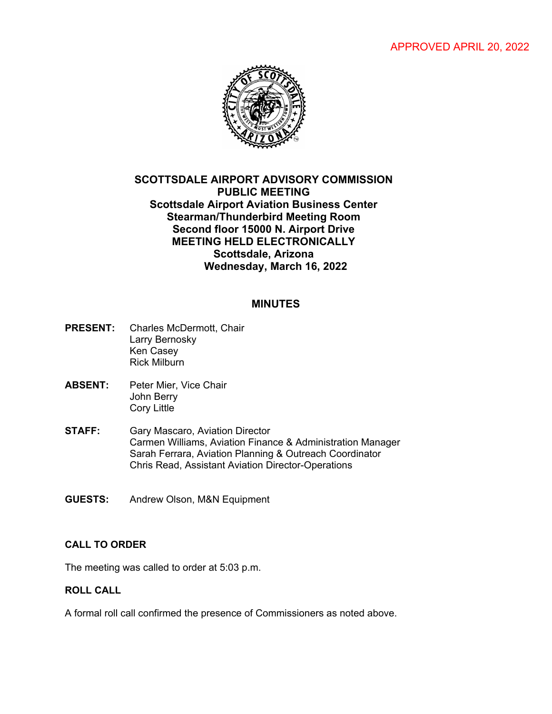APPROVED APRIL 20, 2022



# **SCOTTSDALE AIRPORT ADVISORY COMMISSION PUBLIC MEETING Scottsdale Airport Aviation Business Center Stearman/Thunderbird Meeting Room Second floor 15000 N. Airport Drive MEETING HELD ELECTRONICALLY Scottsdale, Arizona Wednesday, March 16, 2022**

## **MINUTES**

- **PRESENT:** Charles McDermott, Chair Larry Bernosky Ken Casey Rick Milburn
- **ABSENT:** Peter Mier, Vice Chair John Berry Cory Little
- **STAFF:** Gary Mascaro, Aviation Director Carmen Williams, Aviation Finance & Administration Manager Sarah Ferrara, Aviation Planning & Outreach Coordinator Chris Read, Assistant Aviation Director-Operations
- **GUESTS:** Andrew Olson, M&N Equipment

## **CALL TO ORDER**

The meeting was called to order at 5:03 p.m.

#### **ROLL CALL**

A formal roll call confirmed the presence of Commissioners as noted above.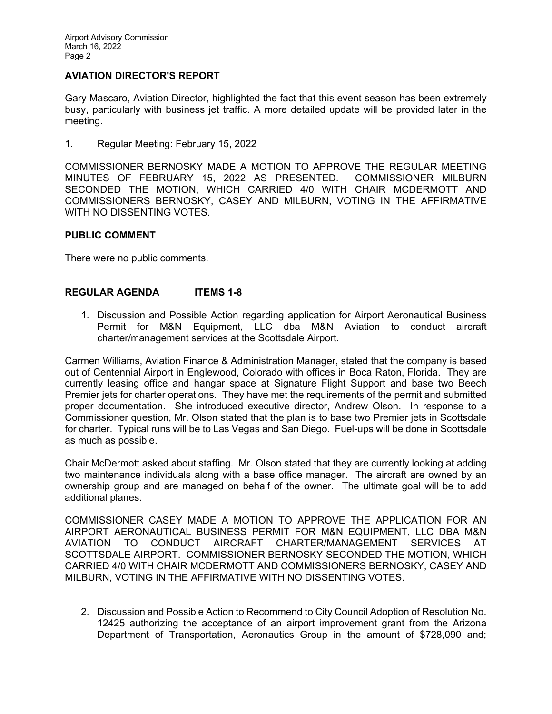# **AVIATION DIRECTOR'S REPORT**

Gary Mascaro, Aviation Director, highlighted the fact that this event season has been extremely busy, particularly with business jet traffic. A more detailed update will be provided later in the meeting.

1. Regular Meeting: February 15, 2022

COMMISSIONER BERNOSKY MADE A MOTION TO APPROVE THE REGULAR MEETING MINUTES OF FEBRUARY 15, 2022 AS PRESENTED. COMMISSIONER MILBURN SECONDED THE MOTION, WHICH CARRIED 4/0 WITH CHAIR MCDERMOTT AND COMMISSIONERS BERNOSKY, CASEY AND MILBURN, VOTING IN THE AFFIRMATIVE WITH NO DISSENTING VOTES.

#### **PUBLIC COMMENT**

There were no public comments.

## **REGULAR AGENDA ITEMS 1-8**

1. Discussion and Possible Action regarding application for Airport Aeronautical Business Permit for M&N Equipment, LLC dba M&N Aviation to conduct aircraft charter/management services at the Scottsdale Airport.

Carmen Williams, Aviation Finance & Administration Manager, stated that the company is based out of Centennial Airport in Englewood, Colorado with offices in Boca Raton, Florida. They are currently leasing office and hangar space at Signature Flight Support and base two Beech Premier jets for charter operations. They have met the requirements of the permit and submitted proper documentation. She introduced executive director, Andrew Olson. In response to a Commissioner question, Mr. Olson stated that the plan is to base two Premier jets in Scottsdale for charter. Typical runs will be to Las Vegas and San Diego. Fuel-ups will be done in Scottsdale as much as possible.

Chair McDermott asked about staffing. Mr. Olson stated that they are currently looking at adding two maintenance individuals along with a base office manager. The aircraft are owned by an ownership group and are managed on behalf of the owner. The ultimate goal will be to add additional planes.

COMMISSIONER CASEY MADE A MOTION TO APPROVE THE APPLICATION FOR AN AIRPORT AERONAUTICAL BUSINESS PERMIT FOR M&N EQUIPMENT, LLC DBA M&N AVIATION TO CONDUCT AIRCRAFT CHARTER/MANAGEMENT SERVICES AT SCOTTSDALE AIRPORT. COMMISSIONER BERNOSKY SECONDED THE MOTION, WHICH CARRIED 4/0 WITH CHAIR MCDERMOTT AND COMMISSIONERS BERNOSKY, CASEY AND MILBURN, VOTING IN THE AFFIRMATIVE WITH NO DISSENTING VOTES.

2. Discussion and Possible Action to Recommend to City Council Adoption of Resolution No. 12425 authorizing the acceptance of an airport improvement grant from the Arizona Department of Transportation, Aeronautics Group in the amount of \$728,090 and;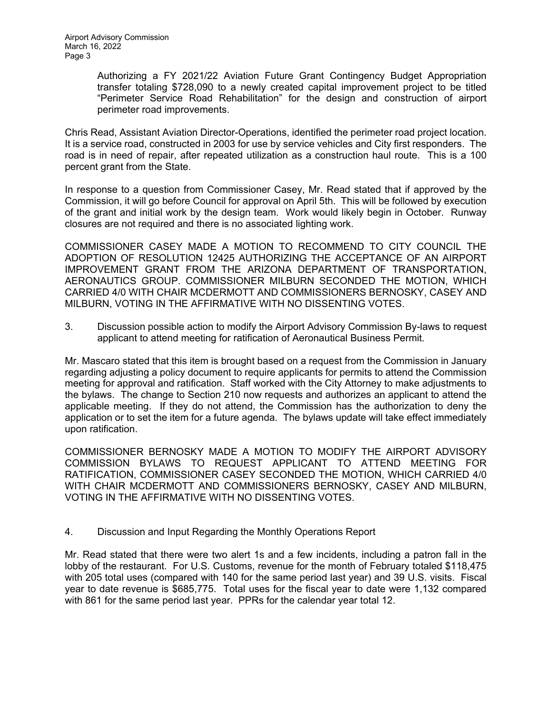Authorizing a FY 2021/22 Aviation Future Grant Contingency Budget Appropriation transfer totaling \$728,090 to a newly created capital improvement project to be titled "Perimeter Service Road Rehabilitation" for the design and construction of airport perimeter road improvements.

Chris Read, Assistant Aviation Director-Operations, identified the perimeter road project location. It is a service road, constructed in 2003 for use by service vehicles and City first responders. The road is in need of repair, after repeated utilization as a construction haul route. This is a 100 percent grant from the State.

In response to a question from Commissioner Casey, Mr. Read stated that if approved by the Commission, it will go before Council for approval on April 5th. This will be followed by execution of the grant and initial work by the design team. Work would likely begin in October. Runway closures are not required and there is no associated lighting work.

COMMISSIONER CASEY MADE A MOTION TO RECOMMEND TO CITY COUNCIL THE ADOPTION OF RESOLUTION 12425 AUTHORIZING THE ACCEPTANCE OF AN AIRPORT IMPROVEMENT GRANT FROM THE ARIZONA DEPARTMENT OF TRANSPORTATION, AERONAUTICS GROUP. COMMISSIONER MILBURN SECONDED THE MOTION, WHICH CARRIED 4/0 WITH CHAIR MCDERMOTT AND COMMISSIONERS BERNOSKY, CASEY AND MILBURN, VOTING IN THE AFFIRMATIVE WITH NO DISSENTING VOTES.

3. Discussion possible action to modify the Airport Advisory Commission By-laws to request applicant to attend meeting for ratification of Aeronautical Business Permit.

Mr. Mascaro stated that this item is brought based on a request from the Commission in January regarding adjusting a policy document to require applicants for permits to attend the Commission meeting for approval and ratification. Staff worked with the City Attorney to make adjustments to the bylaws. The change to Section 210 now requests and authorizes an applicant to attend the applicable meeting. If they do not attend, the Commission has the authorization to deny the application or to set the item for a future agenda. The bylaws update will take effect immediately upon ratification.

COMMISSIONER BERNOSKY MADE A MOTION TO MODIFY THE AIRPORT ADVISORY COMMISSION BYLAWS TO REQUEST APPLICANT TO ATTEND MEETING FOR RATIFICATION, COMMISSIONER CASEY SECONDED THE MOTION, WHICH CARRIED 4/0 WITH CHAIR MCDERMOTT AND COMMISSIONERS BERNOSKY, CASEY AND MILBURN, VOTING IN THE AFFIRMATIVE WITH NO DISSENTING VOTES.

## 4. Discussion and Input Regarding the Monthly Operations Report

Mr. Read stated that there were two alert 1s and a few incidents, including a patron fall in the lobby of the restaurant. For U.S. Customs, revenue for the month of February totaled \$118,475 with 205 total uses (compared with 140 for the same period last year) and 39 U.S. visits. Fiscal year to date revenue is \$685,775. Total uses for the fiscal year to date were 1,132 compared with 861 for the same period last year. PPRs for the calendar year total 12.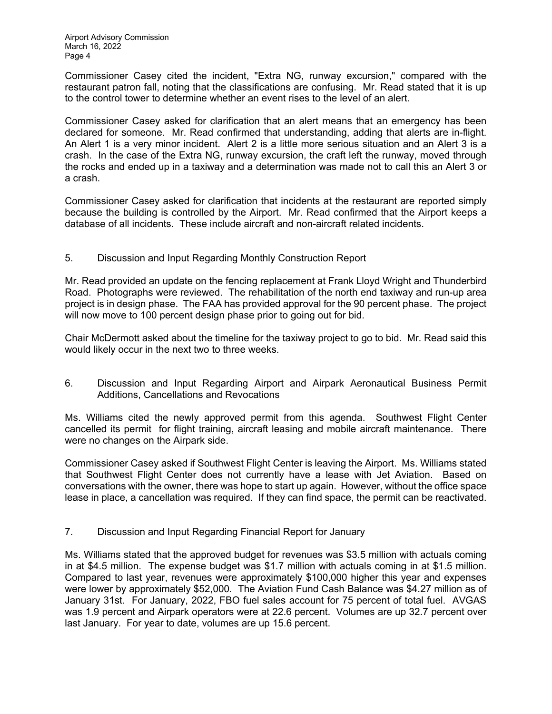Commissioner Casey cited the incident, "Extra NG, runway excursion," compared with the restaurant patron fall, noting that the classifications are confusing. Mr. Read stated that it is up to the control tower to determine whether an event rises to the level of an alert.

Commissioner Casey asked for clarification that an alert means that an emergency has been declared for someone. Mr. Read confirmed that understanding, adding that alerts are in-flight. An Alert 1 is a very minor incident. Alert 2 is a little more serious situation and an Alert 3 is a crash. In the case of the Extra NG, runway excursion, the craft left the runway, moved through the rocks and ended up in a taxiway and a determination was made not to call this an Alert 3 or a crash.

Commissioner Casey asked for clarification that incidents at the restaurant are reported simply because the building is controlled by the Airport. Mr. Read confirmed that the Airport keeps a database of all incidents. These include aircraft and non-aircraft related incidents.

## 5. Discussion and Input Regarding Monthly Construction Report

Mr. Read provided an update on the fencing replacement at Frank Lloyd Wright and Thunderbird Road. Photographs were reviewed. The rehabilitation of the north end taxiway and run-up area project is in design phase. The FAA has provided approval for the 90 percent phase. The project will now move to 100 percent design phase prior to going out for bid.

Chair McDermott asked about the timeline for the taxiway project to go to bid. Mr. Read said this would likely occur in the next two to three weeks.

6. Discussion and Input Regarding Airport and Airpark Aeronautical Business Permit Additions, Cancellations and Revocations

Ms. Williams cited the newly approved permit from this agenda. Southwest Flight Center cancelled its permit for flight training, aircraft leasing and mobile aircraft maintenance. There were no changes on the Airpark side.

Commissioner Casey asked if Southwest Flight Center is leaving the Airport. Ms. Williams stated that Southwest Flight Center does not currently have a lease with Jet Aviation. Based on conversations with the owner, there was hope to start up again. However, without the office space lease in place, a cancellation was required. If they can find space, the permit can be reactivated.

7. Discussion and Input Regarding Financial Report for January

Ms. Williams stated that the approved budget for revenues was \$3.5 million with actuals coming in at \$4.5 million. The expense budget was \$1.7 million with actuals coming in at \$1.5 million. Compared to last year, revenues were approximately \$100,000 higher this year and expenses were lower by approximately \$52,000. The Aviation Fund Cash Balance was \$4.27 million as of January 31st. For January, 2022, FBO fuel sales account for 75 percent of total fuel. AVGAS was 1.9 percent and Airpark operators were at 22.6 percent. Volumes are up 32.7 percent over last January. For year to date, volumes are up 15.6 percent.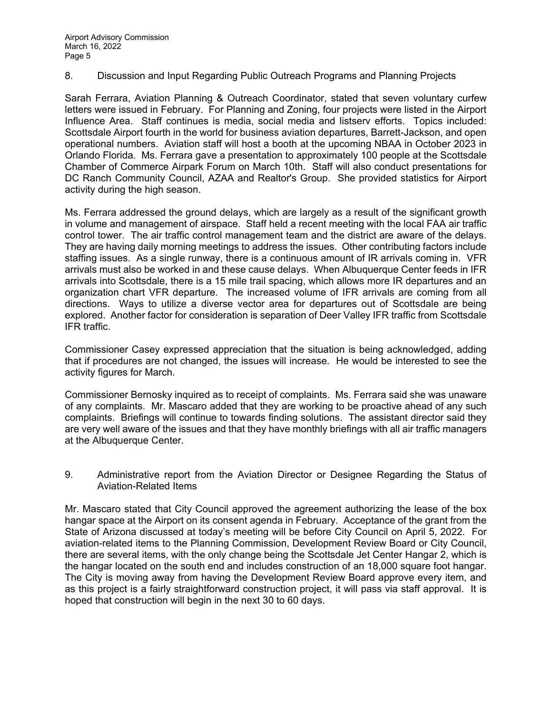8. Discussion and Input Regarding Public Outreach Programs and Planning Projects

Sarah Ferrara, Aviation Planning & Outreach Coordinator, stated that seven voluntary curfew letters were issued in February. For Planning and Zoning, four projects were listed in the Airport Influence Area. Staff continues is media, social media and listserv efforts. Topics included: Scottsdale Airport fourth in the world for business aviation departures, Barrett-Jackson, and open operational numbers. Aviation staff will host a booth at the upcoming NBAA in October 2023 in Orlando Florida. Ms. Ferrara gave a presentation to approximately 100 people at the Scottsdale Chamber of Commerce Airpark Forum on March 10th. Staff will also conduct presentations for DC Ranch Community Council, AZAA and Realtor's Group. She provided statistics for Airport activity during the high season.

Ms. Ferrara addressed the ground delays, which are largely as a result of the significant growth in volume and management of airspace. Staff held a recent meeting with the local FAA air traffic control tower. The air traffic control management team and the district are aware of the delays. They are having daily morning meetings to address the issues. Other contributing factors include staffing issues. As a single runway, there is a continuous amount of IR arrivals coming in. VFR arrivals must also be worked in and these cause delays. When Albuquerque Center feeds in IFR arrivals into Scottsdale, there is a 15 mile trail spacing, which allows more IR departures and an organization chart VFR departure. The increased volume of IFR arrivals are coming from all directions. Ways to utilize a diverse vector area for departures out of Scottsdale are being explored. Another factor for consideration is separation of Deer Valley IFR traffic from Scottsdale IFR traffic.

Commissioner Casey expressed appreciation that the situation is being acknowledged, adding that if procedures are not changed, the issues will increase. He would be interested to see the activity figures for March.

Commissioner Bernosky inquired as to receipt of complaints. Ms. Ferrara said she was unaware of any complaints. Mr. Mascaro added that they are working to be proactive ahead of any such complaints. Briefings will continue to towards finding solutions. The assistant director said they are very well aware of the issues and that they have monthly briefings with all air traffic managers at the Albuquerque Center.

9. Administrative report from the Aviation Director or Designee Regarding the Status of Aviation-Related Items

Mr. Mascaro stated that City Council approved the agreement authorizing the lease of the box hangar space at the Airport on its consent agenda in February. Acceptance of the grant from the State of Arizona discussed at today's meeting will be before City Council on April 5, 2022. For aviation-related items to the Planning Commission, Development Review Board or City Council, there are several items, with the only change being the Scottsdale Jet Center Hangar 2, which is the hangar located on the south end and includes construction of an 18,000 square foot hangar. The City is moving away from having the Development Review Board approve every item, and as this project is a fairly straightforward construction project, it will pass via staff approval. It is hoped that construction will begin in the next 30 to 60 days.